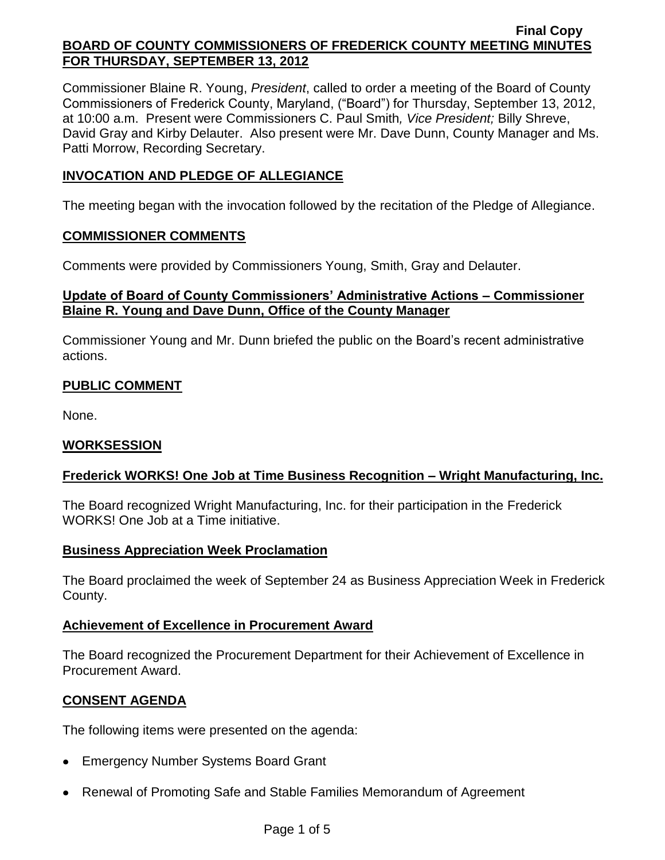Commissioner Blaine R. Young, *President*, called to order a meeting of the Board of County Commissioners of Frederick County, Maryland, ("Board") for Thursday, September 13, 2012, at 10:00 a.m. Present were Commissioners C. Paul Smith*, Vice President;* Billy Shreve, David Gray and Kirby Delauter. Also present were Mr. Dave Dunn, County Manager and Ms. Patti Morrow, Recording Secretary.

# **INVOCATION AND PLEDGE OF ALLEGIANCE**

The meeting began with the invocation followed by the recitation of the Pledge of Allegiance.

## **COMMISSIONER COMMENTS**

Comments were provided by Commissioners Young, Smith, Gray and Delauter.

# **Update of Board of County Commissioners' Administrative Actions – Commissioner Blaine R. Young and Dave Dunn, Office of the County Manager**

Commissioner Young and Mr. Dunn briefed the public on the Board's recent administrative actions.

# **PUBLIC COMMENT**

None.

## **WORKSESSION**

# **Frederick WORKS! One Job at Time Business Recognition – Wright Manufacturing, Inc.**

The Board recognized Wright Manufacturing, Inc. for their participation in the Frederick WORKS! One Job at a Time initiative.

## **Business Appreciation Week Proclamation**

The Board proclaimed the week of September 24 as Business Appreciation Week in Frederick County.

## **Achievement of Excellence in Procurement Award**

The Board recognized the Procurement Department for their Achievement of Excellence in Procurement Award.

## **CONSENT AGENDA**

The following items were presented on the agenda:

- Emergency Number Systems Board Grant
- Renewal of Promoting Safe and Stable Families Memorandum of Agreement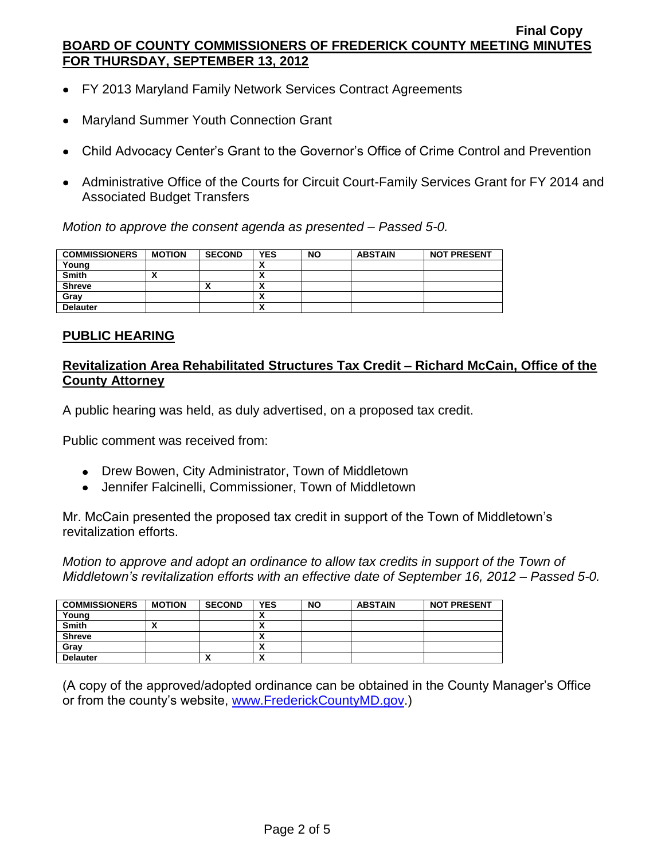- FY 2013 Maryland Family Network Services Contract Agreements
- Maryland Summer Youth Connection Grant  $\bullet$
- Child Advocacy Center's Grant to the Governor's Office of Crime Control and Prevention
- Administrative Office of the Courts for Circuit Court-Family Services Grant for FY 2014 and Associated Budget Transfers

*Motion to approve the consent agenda as presented – Passed 5-0.*

| <b>COMMISSIONERS</b> | <b>MOTION</b> | <b>SECOND</b> | <b>YES</b>                    | <b>NO</b> | <b>ABSTAIN</b> | <b>NOT PRESENT</b> |
|----------------------|---------------|---------------|-------------------------------|-----------|----------------|--------------------|
| Young                |               |               |                               |           |                |                    |
| Smith                |               |               | v<br>^                        |           |                |                    |
| <b>Shreve</b>        |               |               | v<br>$\overline{\phantom{a}}$ |           |                |                    |
| Gray                 |               |               | $\overline{\phantom{a}}$      |           |                |                    |
| <b>Delauter</b>      |               |               | v<br>$\overline{\phantom{a}}$ |           |                |                    |

#### **PUBLIC HEARING**

# **Revitalization Area Rehabilitated Structures Tax Credit – Richard McCain, Office of the County Attorney**

A public hearing was held, as duly advertised, on a proposed tax credit.

Public comment was received from:

- Drew Bowen, City Administrator, Town of Middletown
- Jennifer Falcinelli, Commissioner, Town of Middletown

Mr. McCain presented the proposed tax credit in support of the Town of Middletown's revitalization efforts.

*Motion to approve and adopt an ordinance to allow tax credits in support of the Town of Middletown's revitalization efforts with an effective date of September 16, 2012 – Passed 5-0.*

| <b>COMMISSIONERS</b> | <b>MOTION</b> | <b>SECOND</b> | <b>YES</b> | <b>NO</b> | <b>ABSTAIN</b> | <b>NOT PRESENT</b> |
|----------------------|---------------|---------------|------------|-----------|----------------|--------------------|
| Young                |               |               | ↗          |           |                |                    |
| Smith                |               |               | ↗          |           |                |                    |
| <b>Shreve</b>        |               |               | 灬          |           |                |                    |
| Gray                 |               |               | 灬          |           |                |                    |
| <b>Delauter</b>      |               | ^             | Λ          |           |                |                    |

(A copy of the approved/adopted ordinance can be obtained in the County Manager's Office or from the county's website, [www.FrederickCountyMD.gov.](http://www.frederickcountymd.gov/))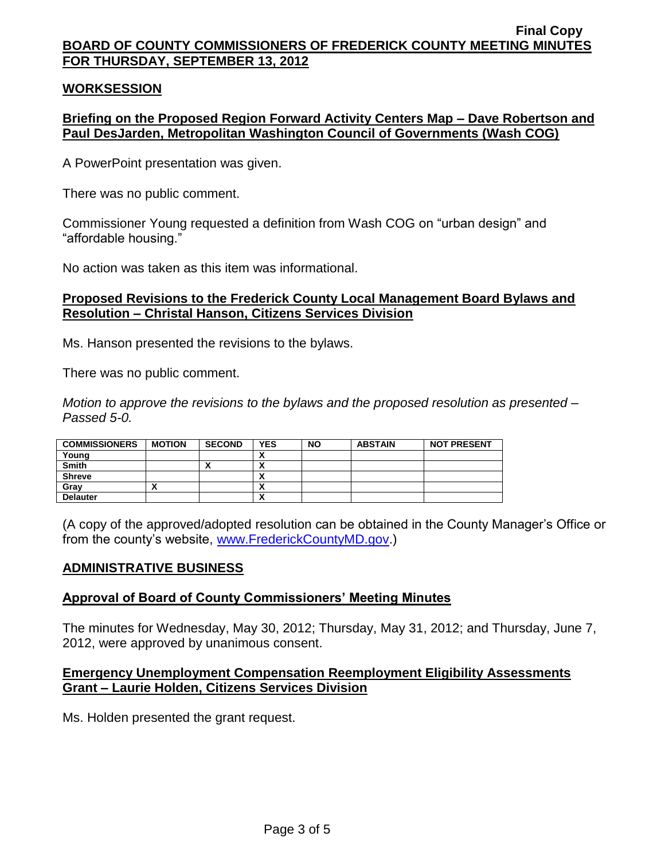## **WORKSESSION**

## **Briefing on the Proposed Region Forward Activity Centers Map – Dave Robertson and Paul DesJarden, Metropolitan Washington Council of Governments (Wash COG)**

A PowerPoint presentation was given.

There was no public comment.

Commissioner Young requested a definition from Wash COG on "urban design" and "affordable housing."

No action was taken as this item was informational.

#### **Proposed Revisions to the Frederick County Local Management Board Bylaws and Resolution – Christal Hanson, Citizens Services Division**

Ms. Hanson presented the revisions to the bylaws.

There was no public comment.

*Motion to approve the revisions to the bylaws and the proposed resolution as presented – Passed 5-0.*

| <b>COMMISSIONERS</b> | <b>MOTION</b> | <b>SECOND</b> | <b>YES</b>                 | <b>NO</b> | <b>ABSTAIN</b> | <b>NOT PRESENT</b> |
|----------------------|---------------|---------------|----------------------------|-----------|----------------|--------------------|
| Young                |               |               | $\overline{\phantom{a}}$   |           |                |                    |
| <b>Smith</b>         |               |               | $\overline{\phantom{a}}$   |           |                |                    |
| <b>Shreve</b>        |               |               |                            |           |                |                    |
| Grav                 | ^             |               | ^                          |           |                |                    |
| <b>Delauter</b>      |               |               | $\boldsymbol{\mathcal{L}}$ |           |                |                    |

(A copy of the approved/adopted resolution can be obtained in the County Manager's Office or from the county's website, [www.FrederickCountyMD.gov.](http://www.frederickcountymd.gov/))

#### **ADMINISTRATIVE BUSINESS**

#### **Approval of Board of County Commissioners' Meeting Minutes**

The minutes for Wednesday, May 30, 2012; Thursday, May 31, 2012; and Thursday, June 7, 2012, were approved by unanimous consent.

#### **Emergency Unemployment Compensation Reemployment Eligibility Assessments Grant – Laurie Holden, Citizens Services Division**

Ms. Holden presented the grant request.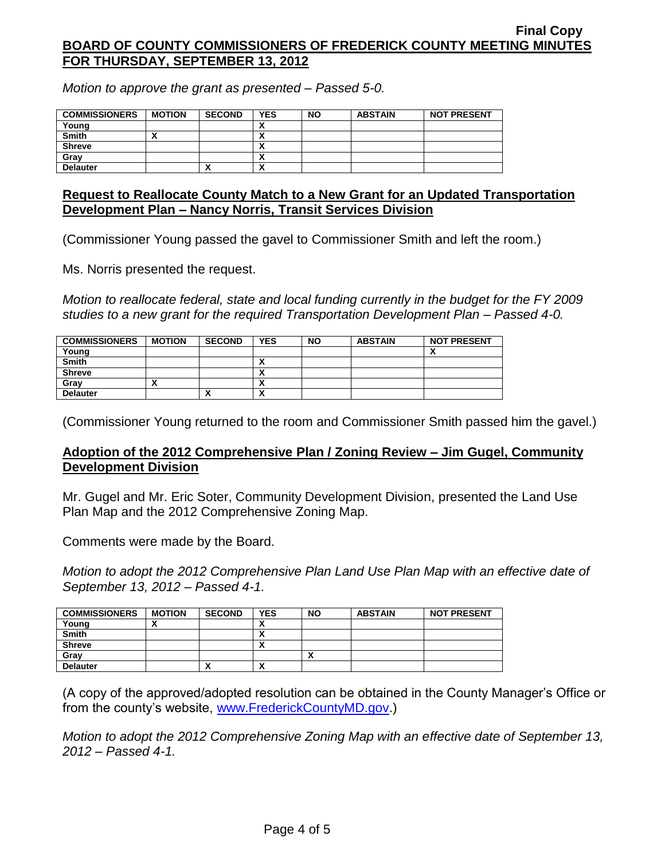*Motion to approve the grant as presented – Passed 5-0.*

| <b>COMMISSIONERS</b> | <b>MOTION</b> | <b>SECOND</b> | <b>YES</b>               | <b>NO</b> | <b>ABSTAIN</b> | <b>NOT PRESENT</b> |
|----------------------|---------------|---------------|--------------------------|-----------|----------------|--------------------|
| Young                |               |               |                          |           |                |                    |
| <b>Smith</b>         |               |               | ~                        |           |                |                    |
| <b>Shreve</b>        |               |               |                          |           |                |                    |
| Grav                 |               |               | ^                        |           |                |                    |
| <b>Delauter</b>      |               |               | $\overline{\phantom{a}}$ |           |                |                    |

#### **Request to Reallocate County Match to a New Grant for an Updated Transportation Development Plan – Nancy Norris, Transit Services Division**

(Commissioner Young passed the gavel to Commissioner Smith and left the room.)

Ms. Norris presented the request.

*Motion to reallocate federal, state and local funding currently in the budget for the FY 2009 studies to a new grant for the required Transportation Development Plan – Passed 4-0.*

| <b>COMMISSIONERS</b> | <b>MOTION</b> | <b>SECOND</b> | <b>YES</b> | NΟ | <b>ABSTAIN</b> | <b>NOT PRESENT</b> |
|----------------------|---------------|---------------|------------|----|----------------|--------------------|
| Young                |               |               |            |    |                |                    |
| <b>Smith</b>         |               |               |            |    |                |                    |
| <b>Shreve</b>        |               |               |            |    |                |                    |
| Gray                 |               |               |            |    |                |                    |
| <b>Delauter</b>      |               |               | Λ          |    |                |                    |

(Commissioner Young returned to the room and Commissioner Smith passed him the gavel.)

## **Adoption of the 2012 Comprehensive Plan / Zoning Review – Jim Gugel, Community Development Division**

Mr. Gugel and Mr. Eric Soter, Community Development Division, presented the Land Use Plan Map and the 2012 Comprehensive Zoning Map.

Comments were made by the Board.

*Motion to adopt the 2012 Comprehensive Plan Land Use Plan Map with an effective date of September 13, 2012 – Passed 4-1.*

| <b>COMMISSIONERS</b> | <b>MOTION</b> | <b>SECOND</b>            | <b>YES</b> | <b>NO</b> | <b>ABSTAIN</b> | <b>NOT PRESENT</b> |
|----------------------|---------------|--------------------------|------------|-----------|----------------|--------------------|
| Young                |               |                          | ,,         |           |                |                    |
| <b>Smith</b>         |               |                          | ,,         |           |                |                    |
| <b>Shreve</b>        |               |                          |            |           |                |                    |
| Gray                 |               |                          |            | Λ         |                |                    |
| <b>Delauter</b>      |               | $\overline{\phantom{a}}$ | Λ          |           |                |                    |

(A copy of the approved/adopted resolution can be obtained in the County Manager's Office or from the county's website, [www.FrederickCountyMD.gov.](http://www.frederickcountymd.gov/))

*Motion to adopt the 2012 Comprehensive Zoning Map with an effective date of September 13, 2012 – Passed 4-1.*